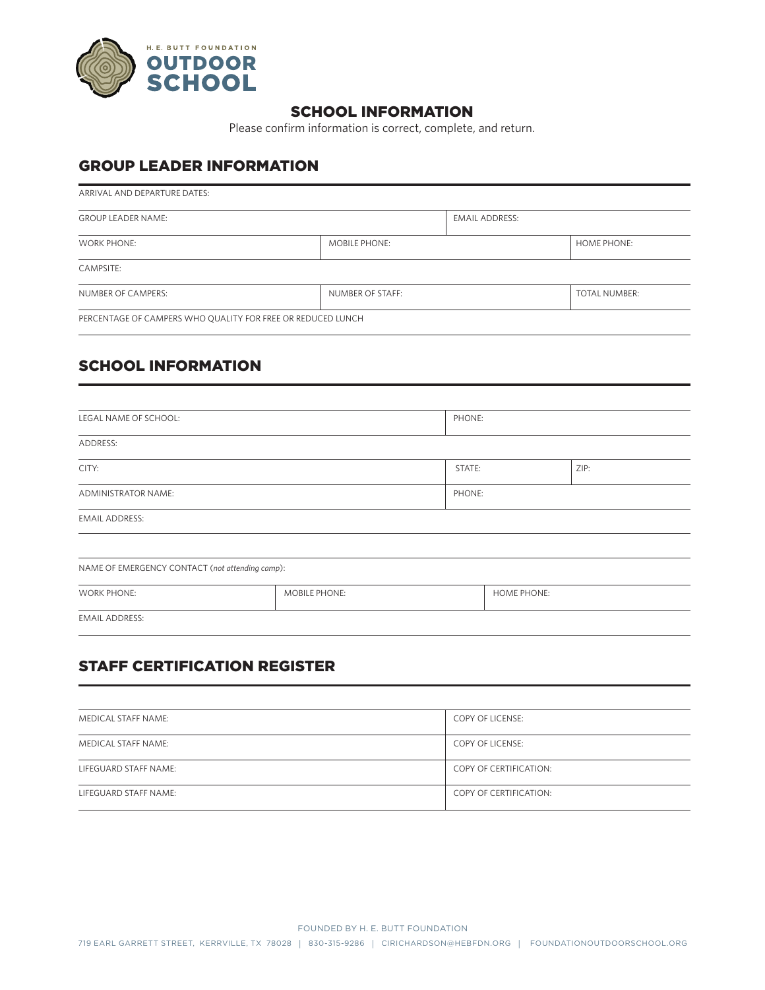

### SCHOOL INFORMATION

Please confirm information is correct, complete, and return.

### GROUP LEADER INFORMATION

| ARRIVAL AND DEPARTURE DATES:                                |                      |                       |  |  |  |
|-------------------------------------------------------------|----------------------|-----------------------|--|--|--|
| <b>GROUP LEADER NAME:</b>                                   |                      | <b>EMAIL ADDRESS:</b> |  |  |  |
| <b>WORK PHONE:</b>                                          | <b>MOBILE PHONE:</b> |                       |  |  |  |
| CAMPSITE:                                                   |                      |                       |  |  |  |
| NUMBER OF CAMPERS:                                          | NUMBER OF STAFF:     |                       |  |  |  |
| PERCENTAGE OF CAMPERS WHO QUALITY FOR FREE OR REDUCED LUNCH |                      |                       |  |  |  |

## SCHOOL INFORMATION

| LEGAL NAME OF SCHOOL:                           |               | PHONE: |                    |      |  |  |
|-------------------------------------------------|---------------|--------|--------------------|------|--|--|
| ADDRESS:                                        |               |        |                    |      |  |  |
| CITY:                                           |               | STATE: |                    | ZIP: |  |  |
| ADMINISTRATOR NAME:                             |               | PHONE: |                    |      |  |  |
| <b>EMAIL ADDRESS:</b>                           |               |        |                    |      |  |  |
|                                                 |               |        |                    |      |  |  |
| NAME OF EMERGENCY CONTACT (not attending camp): |               |        |                    |      |  |  |
| <b>WORK PHONE:</b>                              | MOBILE PHONE: |        | <b>HOME PHONE:</b> |      |  |  |
| <b>EMAIL ADDRESS:</b>                           |               |        |                    |      |  |  |

# STAFF CERTIFICATION REGISTER

| MEDICAL STAFF NAME:   | <b>COPY OF LICENSE:</b> |
|-----------------------|-------------------------|
| MEDICAL STAFF NAME:   | <b>COPY OF LICENSE:</b> |
| LIFEGUARD STAFF NAME: | COPY OF CERTIFICATION:  |
| LIFEGUARD STAFF NAME: | COPY OF CERTIFICATION:  |